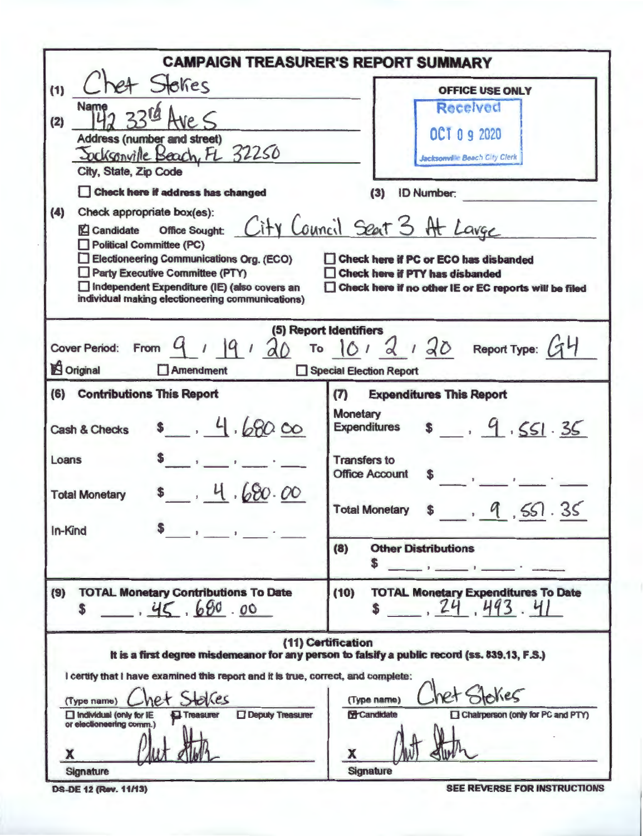| <b>CAMPAIGN TREASURER'S REPORT SUMMARY</b>                                                                                                                                                                                                                                                                                                                                                                                                                                                                                       |                                                                                                                                                                                                                                |  |  |  |  |  |
|----------------------------------------------------------------------------------------------------------------------------------------------------------------------------------------------------------------------------------------------------------------------------------------------------------------------------------------------------------------------------------------------------------------------------------------------------------------------------------------------------------------------------------|--------------------------------------------------------------------------------------------------------------------------------------------------------------------------------------------------------------------------------|--|--|--|--|--|
| het Stokes<br>(1)<br>Name                                                                                                                                                                                                                                                                                                                                                                                                                                                                                                        | <b>OFFICE USE ONLY</b><br>Received                                                                                                                                                                                             |  |  |  |  |  |
| (2)<br>Address (number and street)<br>Socksonville Beach, FL 32250                                                                                                                                                                                                                                                                                                                                                                                                                                                               | OCT 0 9 2020<br><b>Jacksonville Beach City Clerk</b>                                                                                                                                                                           |  |  |  |  |  |
| City, State, Zip Code                                                                                                                                                                                                                                                                                                                                                                                                                                                                                                            |                                                                                                                                                                                                                                |  |  |  |  |  |
| Check here if address has changed<br>(3)<br><b>ID Number:</b><br>(4)<br>Check appropriate box(es):<br>office sought: City Council Seat 3 At Lavge<br>Candidate<br><b>Political Committee (PC)</b><br>Electioneering Communications Org. (ECO)<br>Check here if PC or ECO has disbanded<br>Party Executive Committee (PTY)<br><b>Check here if PTY has disbanded</b><br>Independent Expenditure (IE) (also covers an<br>Check here if no other IE or EC reports will be filed<br>individual making electioneering communications) |                                                                                                                                                                                                                                |  |  |  |  |  |
| 1  9120<br>Cover Period: From 4<br>Original<br>Amendment                                                                                                                                                                                                                                                                                                                                                                                                                                                                         | (5) Report Identifiers<br>To $101$ d $130$ Report Type: $GH$<br>Special Election Report                                                                                                                                        |  |  |  |  |  |
| (6) Contributions This Report                                                                                                                                                                                                                                                                                                                                                                                                                                                                                                    | (T)<br><b>Expenditures This Report</b>                                                                                                                                                                                         |  |  |  |  |  |
| 8, 4.680.00<br><b>Cash &amp; Checks</b>                                                                                                                                                                                                                                                                                                                                                                                                                                                                                          | <b>Monetary</b><br>19.551.35<br><b>Expenditures</b>                                                                                                                                                                            |  |  |  |  |  |
| Loans<br>\$ 4.680.00<br><b>Total Monetary</b>                                                                                                                                                                                                                                                                                                                                                                                                                                                                                    | <b>Transfers to</b><br><b>Office Account</b><br>9.551.35<br>$\mathbf{s}$<br><b>Total Monetary</b>                                                                                                                              |  |  |  |  |  |
| In-Kind                                                                                                                                                                                                                                                                                                                                                                                                                                                                                                                          |                                                                                                                                                                                                                                |  |  |  |  |  |
|                                                                                                                                                                                                                                                                                                                                                                                                                                                                                                                                  | (8)<br><b>Other Distributions</b><br>S                                                                                                                                                                                         |  |  |  |  |  |
| <b>TOTAL Monetary Contributions To Date</b><br>(9)<br>45.680.00<br>S                                                                                                                                                                                                                                                                                                                                                                                                                                                             | (10)<br><b>TOTAL Monetary Expenditures To Date</b><br>$\frac{1}{24}$ , $\frac{1}{43}$ , $\frac{1}{41}$                                                                                                                         |  |  |  |  |  |
| I certify that I have examined this report and it is true, correct, and complete:<br>et Stakes<br>(Type name)<br><b>Deputy Treasurer</b><br>Individual (only for IE<br>Treasurer<br>or electioneering comm.)<br>x<br><b>Signature</b>                                                                                                                                                                                                                                                                                            | (11) Certification<br>It is a first degree misdemeanor for any person to falsify a public record (ss. 839.13, F.S.)<br>skes<br>(Type name)<br>Chairperson (only for PC and PTY)<br><b>E</b> Candidate<br>х<br><b>Signature</b> |  |  |  |  |  |

**DS-DE 12 (Rev. 11/13)** 

SEE REVERSE FOR INSTRUCTIONS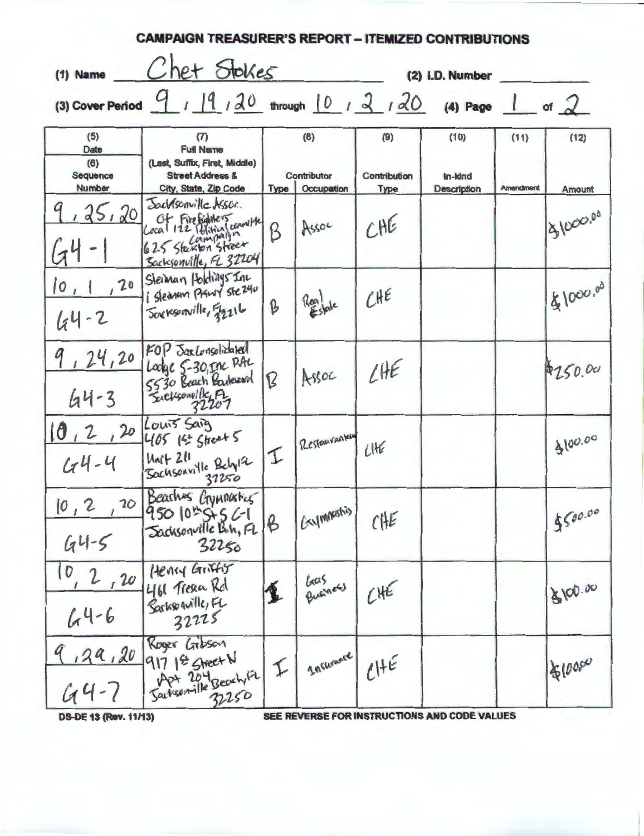| $(1)$ Name                               | Chet Stokes                                                                                                      |              |                                  |                                    | (2) I.D. Number                       |                          |                |
|------------------------------------------|------------------------------------------------------------------------------------------------------------------|--------------|----------------------------------|------------------------------------|---------------------------------------|--------------------------|----------------|
|                                          | (3) Cover Period $9 / 19 / 20$ through $10 / 2 / 20$ (4) Page 1                                                  |              |                                  |                                    |                                       |                          | of $2$         |
| (5)<br>Date<br>(6)<br>Sequence<br>Number | (7)<br><b>Full Name</b><br>(Last, Suffix, First, Middle)<br><b>Street Address &amp;</b><br>City, State, Zip Code | <b>Type</b>  | (8)<br>Contributor<br>Occupation | (9)<br>Contribution<br><b>Type</b> | (10)<br>in-kind<br><b>Description</b> | (11)<br><b>Amendment</b> | (12)<br>Amount |
| 25,20                                    | Jacksonville Assoc.<br>Cocal 122 Political conville<br>Sacksonville, EL 32204                                    | B            | Assoc                            | CHE                                |                                       |                          | 31000.00       |
| , 20<br> 0, 1<br>$44 - 2$                | Steiman Holdings Inc<br>Sleanan Planty Ste240<br>Sorksonville, 52216                                             | B            | Realtate                         | CHE                                |                                       |                          | 18/000.00      |
| , 24, 20<br>$44 - 3$                     | FOP Jaklonsolizated<br>Lodge 5-30, Inc PAL<br>5530 Beach Barbarad                                                | B            | Assoc                            | LHE                                |                                       |                          | \$250.00       |
| 10, 2, 20<br>$44 - 4$                    | Louis Saig<br>405 14 Street 5<br>$M + 211$<br>Sochsonville Belyla                                                | I            | Restaurantery                    | LHE                                |                                       |                          | 8100.00        |
| 10, 2<br>$64 - 5$                        | 20 Beaches Crymousters<br>950 10 5 5 6-1<br>Sacksonville Boh, FL<br>32250                                        | $\beta$      | (Exponentis)                     | CHE                                |                                       |                          | 8500.00        |
| 10, 2, 20<br>$64 - 6$                    | Henry Griffy<br>461 Tresca Rd<br>Sarkspaville, FL<br>32225                                                       | 复            | Gas<br>Business                  | CHE                                |                                       |                          | 3100.00        |
| $64 - 7$                                 | Roger Linkson<br>9,29,20 917 18 Street N<br>Dartsonville Beach 1/2<br>32250                                      | $\downarrow$ | Incurance                        | CHE                                |                                       |                          | \$100,00       |

**DS-DE 13 (Rev. 11/13)** 

SEE REVERSE FOR INSTRUCTIONS AND CODE VALUES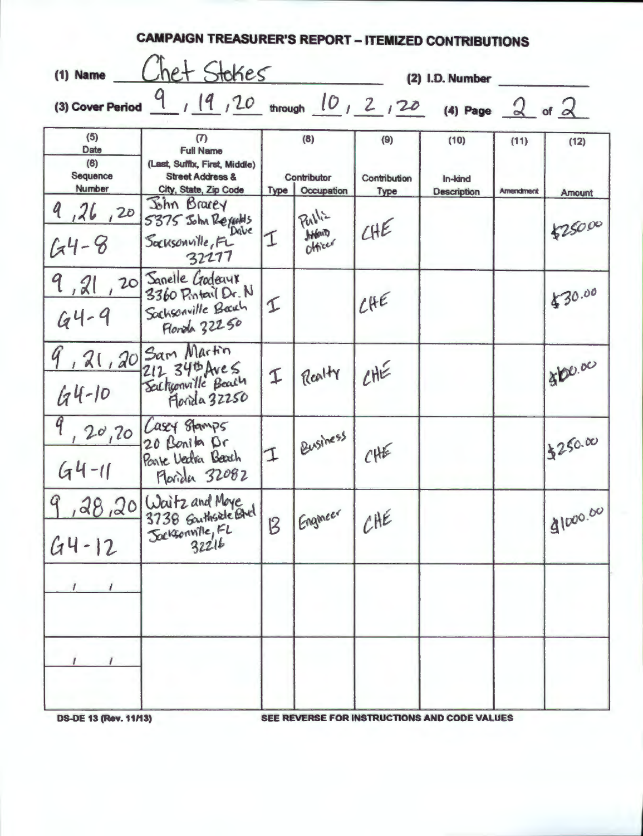| (1) Name                                 |                                                                                                                                                         | Chet Stokes<br>(2) I.D. Number |                                                |                                    |                                |                          |                       |  |
|------------------------------------------|---------------------------------------------------------------------------------------------------------------------------------------------------------|--------------------------------|------------------------------------------------|------------------------------------|--------------------------------|--------------------------|-----------------------|--|
|                                          | (3) Cover Period $\frac{9}{11}$ , $\frac{19}{12}$ , $\frac{20}{10}$ through $\frac{10}{12}$ , $\frac{2}{120}$ (4) Page $\frac{2}{12}$ of $\frac{2}{12}$ |                                |                                                |                                    |                                |                          |                       |  |
| (5)<br>Date<br>(6)<br>Sequence<br>Number | $\sigma$<br><b>Full Name</b><br>(Last, Suffix, First, Middle)<br><b>Street Address &amp;</b><br>City, State, Zip Code                                   |                                | (8)<br>Contributor<br><b>Type   Occupation</b> | (9)<br>Contribution<br><b>Type</b> | (10)<br>In-kind<br>Description | (11)<br><b>Amendment</b> | (12)<br><b>Amount</b> |  |
| 9,26,20<br>$64 - 8$                      | John Bracey<br>5375 John Regards<br>Dave<br>Socksonville, FL<br>32277                                                                                   |                                | Public<br><b>Hylaith</b>                       | CHE                                |                                |                          | 525000                |  |
| 9,21,20<br>$64 - 9$                      | Sanelle Godeaux<br>3360 Pintail Dr. N<br>Sachsonville Beach<br>Florda 32250                                                                             | I                              |                                                | LHE                                |                                |                          | \$30.00               |  |
| $64 - 10$                                | 9, 21, 20 Sam Martin<br>212 34th Ave S<br>Sectionville Beach<br>Florida 32250                                                                           | $\mathbf 1$                    | Realty                                         | CHE                                |                                |                          | \$100.00              |  |
| $44 - 11$                                | $9, 20, 20$ Casey stamps<br>20 Bonito Dr<br>Parte Vedra Beach<br>Morida 32082                                                                           | $\mathcal{I}$                  | Business                                       | CHE                                |                                |                          | 13250.00              |  |
| $\boldsymbol{q}$<br>$44 - 12$            | , 28, 20 Waitz and Moye<br>3738 Garthside Blvd<br>Sacksonville, EL                                                                                      | B                              | Engineer                                       | CHE                                |                                |                          | 31000.00              |  |
| $\prime$                                 |                                                                                                                                                         |                                |                                                |                                    |                                |                          |                       |  |
|                                          |                                                                                                                                                         |                                |                                                |                                    |                                |                          |                       |  |

**DS-DE 13 (Rev. 11/13)** 

SEE REVERSE FOR INSTRUCTIONS AND CODE VALUES